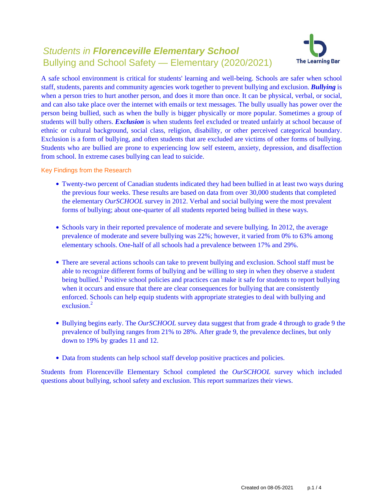# Students in **Florenceville Elementary School** Bullying and School Safety — Elementary (2020/2021)



A safe school environment is critical for students' learning and well-being. Schools are safer when school staff, students, parents and community agencies work together to prevent bullying and exclusion. *Bullying* is when a person tries to hurt another person, and does it more than once. It can be physical, verbal, or social, and can also take place over the internet with emails or text messages. The bully usually has power over the person being bullied, such as when the bully is bigger physically or more popular. Sometimes a group of students will bully others. *Exclusion* is when students feel excluded or treated unfairly at school because of ethnic or cultural background, social class, religion, disability, or other perceived categorical boundary. Exclusion is a form of bullying, and often students that are excluded are victims of other forms of bullying. Students who are bullied are prone to experiencing low self esteem, anxiety, depression, and disaffection from school. In extreme cases bullying can lead to suicide.

Key Findings from the Research

- Twenty-two percent of Canadian students indicated they had been bullied in at least two ways during the previous four weeks. These results are based on data from over 30,000 students that completed the elementary *OurSCHOOL* survey in 2012. Verbal and social bullying were the most prevalent forms of bullying; about one-quarter of all students reported being bullied in these ways.
- Schools vary in their reported prevalence of moderate and severe bullying. In 2012, the average prevalence of moderate and severe bullying was 22%; however, it varied from 0% to 63% among elementary schools. One-half of all schools had a prevalence between 17% and 29%.
- There are several actions schools can take to prevent bullying and exclusion. School staff must be able to recognize different forms of bullying and be willing to step in when they observe a student being bullied.<sup>1</sup> Positive school policies and practices can make it safe for students to report bullying when it occurs and ensure that there are clear consequences for bullying that are consistently enforced. Schools can help equip students with appropriate strategies to deal with bullying and exclusion $^2$
- Bullying begins early. The *OurSCHOOL* survey data suggest that from grade 4 through to grade 9 the prevalence of bullying ranges from 21% to 28%. After grade 9, the prevalence declines, but only down to 19% by grades 11 and 12.
- Data from students can help school staff develop positive practices and policies.

Students from Florenceville Elementary School completed the *OurSCHOOL* survey which included questions about bullying, school safety and exclusion. This report summarizes their views.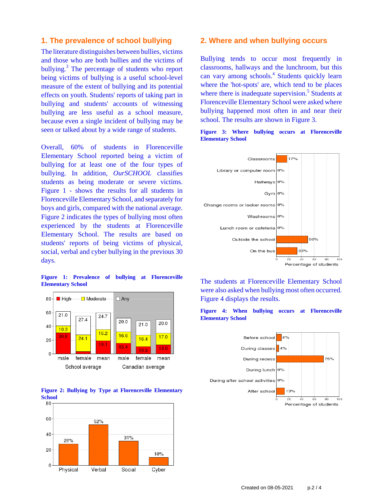### **1. The prevalence of school bullying**

The literature distinguishes between bullies, victims and those who are both bullies and the victims of bullying.<sup>3</sup> The percentage of students who report being victims of bullying is a useful school-level measure of the extent of bullying and its potential effects on youth. Students' reports of taking part in bullying and students' accounts of witnessing bullying are less useful as a school measure, because even a single incident of bullying may be seen or talked about by a wide range of students.

Overall, 60% of students in Florenceville Elementary School reported being a victim of bullying for at least one of the four types of bullying. In addition, *OurSCHOOL* classifies students as being moderate or severe victims. Figure 1 - shows the results for all students in Florenceville Elementary School, and separately for boys and girls, compared with the national average. Figure 2 indicates the types of bullying most often experienced by the students at Florenceville Elementary School. The results are based on students' reports of being victims of physical, social, verbal and cyber bullying in the previous 30 days.

**Figure 1: Prevalence of bullying at Florenceville Elementary School**





### **2. Where and when bullying occurs**

Bullying tends to occur most frequently in classrooms, hallways and the lunchroom, but this can vary among schools.<sup>4</sup> Students quickly learn where the 'hot-spots' are, which tend to be places where there is inadequate supervision.<sup>5</sup> Students at Florenceville Elementary School were asked where bullying happened most often in and near their school. The results are shown in Figure 3.





The students at Florenceville Elementary School were also asked when bullying most often occurred. Figure 4 displays the results.





Created on 08-05-2021 p.2 / 4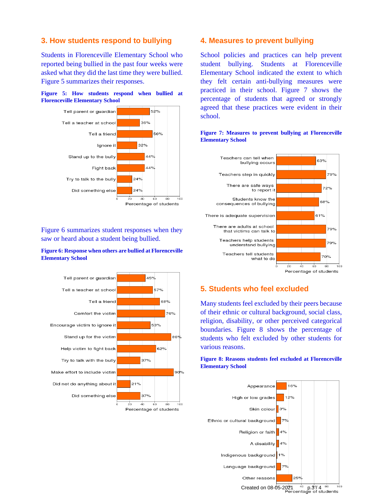# **3. How students respond to bullying**

Students in Florenceville Elementary School who reported being bullied in the past four weeks were asked what they did the last time they were bullied. Figure 5 summarizes their responses.





Figure 6 summarizes student responses when they saw or heard about a student being bullied.

### **Figure 6: Response when others are bullied at Florenceville Elementary School**



### **4. Measures to prevent bullying**

School policies and practices can help prevent student bullying. Students at Florenceville Elementary School indicated the extent to which they felt certain anti-bullying measures were practiced in their school. Figure 7 shows the percentage of students that agreed or strongly agreed that these practices were evident in their school.



### **Figure 7: Measures to prevent bullying at Florenceville Elementary School**

# **5. Students who feel excluded**

Many students feel excluded by their peers because of their ethnic or cultural background, social class, religion, disability, or other perceived categorical boundaries. Figure 8 shows the percentage of students who felt excluded by other students for various reasons.

### **Figure 8: Reasons students feel excluded at Florenceville Elementary School**